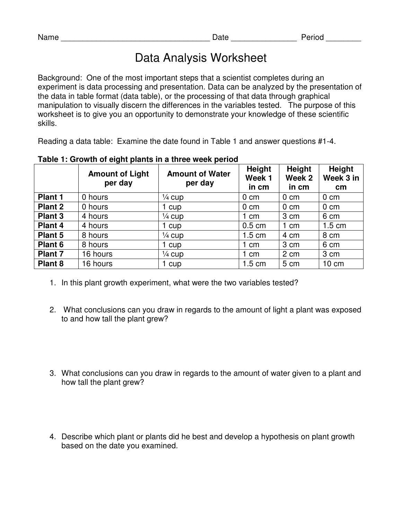## Data Analysis Worksheet

Background: One of the most important steps that a scientist completes during an experiment is data processing and presentation. Data can be analyzed by the presentation of the data in table format (data table), or the processing of that data through graphical manipulation to visually discern the differences in the variables tested. The purpose of this worksheet is to give you an opportunity to demonstrate your knowledge of these scientific skills.

Reading a data table: Examine the date found in Table 1 and answer questions #1-4.

|                | <b>Amount of Light</b><br>per day | <b>Amount of Water</b><br>per day | Height<br>Week 1<br>in cm | Height<br>Week 2<br>in cm | Height<br>Week 3 in<br>cm |
|----------------|-----------------------------------|-----------------------------------|---------------------------|---------------------------|---------------------------|
| Plant 1        | 0 hours                           | $\frac{1}{4}$ cup                 | $0 \text{ cm}$            | $0 \text{ cm}$            | $0 \text{ cm}$            |
| <b>Plant 2</b> | 0 hours                           | 1 cup                             | $0 \text{ cm}$            | $0 \, \text{cm}$          | $0 \text{ cm}$            |
| <b>Plant 3</b> | 4 hours                           | $\frac{1}{4}$ cup                 | 1 cm                      | 3 cm                      | 6 cm                      |
| Plant 4        | 4 hours                           | 1 cup                             | $0.5 \text{ cm}$          | 1 cm                      | $1.5 \text{ cm}$          |
| Plant 5        | 8 hours                           | $\frac{1}{4}$ cup                 | $1.5 \text{ cm}$          | 4 cm                      | 8 cm                      |
| Plant 6        | 8 hours                           | 1 cup                             | 1 cm                      | 3 cm                      | 6 cm                      |
| <b>Plant 7</b> | 16 hours                          | $\frac{1}{4}$ cup                 | cm                        | 2 cm                      | 3 cm                      |
| <b>Plant 8</b> | 16 hours                          | 1 cup                             | $1.5 \text{ cm}$          | 5 cm                      | $10 \text{ cm}$           |

**Table 1: Growth of eight plants in a three week period** 

- 1. In this plant growth experiment, what were the two variables tested?
- 2. What conclusions can you draw in regards to the amount of light a plant was exposed to and how tall the plant grew?
- 3. What conclusions can you draw in regards to the amount of water given to a plant and how tall the plant grew?
- 4. Describe which plant or plants did he best and develop a hypothesis on plant growth based on the date you examined.